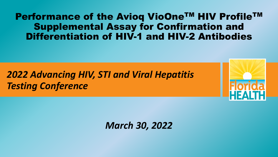### Performance of the Avioq VioOne™ HIV Profile™ Supplemental Assay for Confirmation and Differentiation of HIV-1 and HIV-2 Antibodies

# *2022 Advancing HIV, STI and Viral Hepatitis Testing Conference*

*March 30, 2022*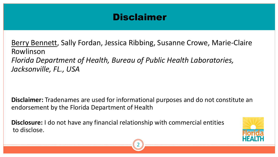## Disclaimer

Berry Bennett, Sally Fordan, Jessica Ribbing, Susanne Crowe, Marie-Claire Rowlinson *Florida Department of Health, Bureau of Public Health Laboratories, Jacksonville, FL., USA*

**Disclaimer:** Tradenames are used for informational purposes and do not constitute an endorsement by the Florida Department of Health

**Disclosure:** I do not have any financial relationship with commercial entities to disclose.



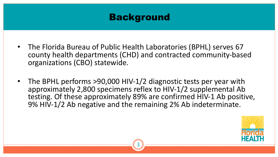## Background

- The Florida Bureau of Public Health Laboratories (BPHL) serves 67 county health departments (CHD) and contracted community-based organizations (CBO) statewide.
- The BPHL performs  $>90,000$  HIV-1/2 diagnostic tests per year with approximately 2,800 specimens reflex to HIV-1/2 supplemental Ab testing. Of these approximately 89% are confirmed HIV-1 Ab positive, 9% HIV-1/2 Ab negative and the remaining 2% Ab indeterminate.



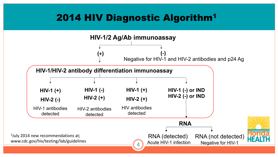# 2014 HIV Diagnostic Algorithm1

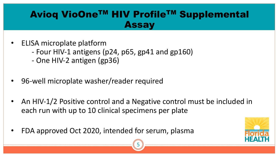# Avioq VioOne™ HIV Profile™ Supplemental Assay

- ELISA microplate platform
	- Four HIV-1 antigens (p24, p65, gp41 and gp160)
	- One HIV-2 antigen (gp36)
- 96-well microplate washer/reader required
- An HIV-1/2 Positive control and a Negative control must be included in each run with up to 10 clinical specimens per plate
- FDA approved Oct 2020, intended for serum, plasma



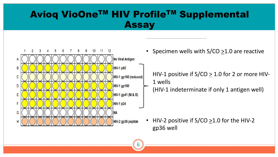## Avioq VioOne™ HIV Profile™ Supplemental Assay

6



• Specimen wells with  $S/CO \geq 1.0$  are reactive

HIV-1 positive if  $S/CO \geq 1.0$  for 2 or more HIV-1 wells (HIV-1 indeterminate if only 1 antigen well)

• HIV-2 positive if  $S/CO \geq 1.0$  for the HIV-2 gp36 well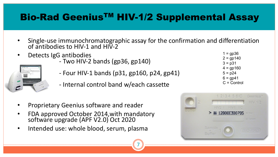# Bio-Rad Geenius<sup>™</sup> HIV-1/2 Supplemental Assay

Single-use immunochromatographic assay for the confirmation and differentiation of antibodies to HIV-1 and HIV-2

7

- 
- Detects IgG antibodies Two HIV-2 bands (gp36, gp140)
	- Four HIV-1 bands (p31, gp160, p24, gp41)
	- Internal control band w/each cassette
- Proprietary Geenius software and reader
- FDA approved October 2014,with mandatory software upgrade (APF V2.0) Oct 2020
- Intended use: whole blood, serum, plasma

 $1 =$ gp $36$  $2 = gp140$  $3 = p31$  $4 =$  gp160  $5 = p24$  $6 =$  qp41 C = Control

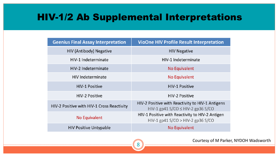#### HIV-1/2 Ab Supplemental Interpretations

| <b>Geenius Final Assay Interpretation</b>  | <b>VioOne HIV Profile Result Interpretation</b>                                            |
|--------------------------------------------|--------------------------------------------------------------------------------------------|
| <b>HIV (Antibody) Negative</b>             | <b>HIV Negative</b>                                                                        |
| HIV-1 Indeterminate                        | HIV-1 Indeterminate                                                                        |
| HIV-2 Indeterminate                        | No Equivalent                                                                              |
| <b>HIV Indeterminate</b>                   | No Equivalent                                                                              |
| <b>HIV-1 Positive</b>                      | <b>HIV-1 Positive</b>                                                                      |
| <b>HIV-2 Positive</b>                      | <b>HIV-2 Positive</b>                                                                      |
| HIV-2 Positive with HIV-1 Cross Reactivity | HIV-2 Positive with Reactivity to HIV-1 Antigens<br>HIV-1 gp41 S/CO $\leq$ HIV-2 gp36 S/CO |
| No Equivalent                              | HIV-1 Positive with Reactivity to HIV-2 Antigen<br>$HIV-1$ gp41 S/CO > $HIV-2$ gp36 S/CO   |
| <b>HIV Positive Untypable</b>              | <b>No Equivalent</b>                                                                       |



Courtesy of M Parker, NYDOH Wadsworth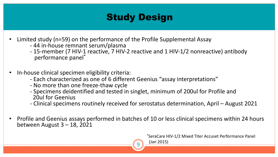# **Study Design**

- -
- Limited study (n=59) on the performance of the Profile Supplemental Assay<br>44 in-house remnant serum/plasma 15-member (7 HIV-1 reactive, 7 HIV-2 reactive and 1 HIV-1/2 nonreactive) antibody performance panel\*
- In-house clinical specimen eligibility criteria:
	- Each characterized as one of 6 different Geenius "assay interpretations"<br>- No more than one freeze-thaw cycle
	-
	- Specimens deidentified and tested in singlet, minimum of 200ul for Profile and 20ul for Geenius
	- Clinical specimens routinely received for serostatus determination, April August 2021
- Profile and Geenius assays performed in batches of 10 or less clinical specimens within 24 hours between August 3 – 18, 2021

\*SeraCare HIV-1/2 Mixed Titer Accuset Performance Panel



(Jan 2015)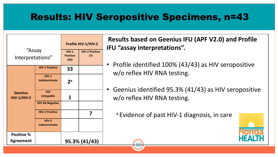# Results: HIV Seropositive Specimens, n=43

1 ቦ



**Results based on Geenius IFU (APF V2.0) and Profile IFU "assay interpretations".** 

- Profile identified 100% (43/43) as HIV seropositive w/o reflex HIV RNA testing.
- Geenius identified 95.3% (41/43) as HIV seropositive w/o reflex HIV RNA testing.

<sup>a</sup> Evidence of past HIV-1 diagnosis, in care

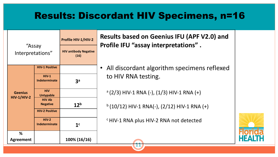## Results: Discordant HIV Specimens, n=16



**Results based on Geenius IFU (APF V2.0) and Profile IFU "assay interpretations" .**

• All discordant algorithm specimens reflexed to HIV RNA testing.

 $a (2/3)$  HIV-1 RNA (-), (1/3) HIV-1 RNA (+)

 $b$  (10/12) HIV-1 RNA(-), (2/12) HIV-1 RNA (+)

c HIV-1 RNA plus HIV-2 RNA not detected

11

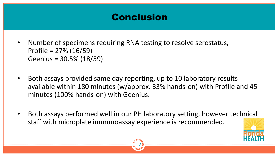# Conclusion

- Number of specimens requiring RNA testing to resolve serostatus, Profile = 27% (16/59) Geenius = 30.5% (18/59)
- Both assays provided same day reporting, up to 10 laboratory results available within 180 minutes (w/approx. 33% hands-on) with Profile and 45 minutes (100% hands-on) with Geenius.
- Both assays performed well in our PH laboratory setting, however technical staff with microplate immunoassay experience is recommended.



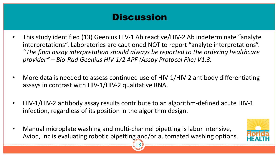# **Discussion**

- This study identified (13) Geenius HIV-1 Ab reactive/HIV-2 Ab indeterminate "analyte interpretations". Laboratories are cautioned NOT to report "analyte interpretations". *"The final assay interpretation should always be reported to the ordering healthcare provider" – Bio-Rad Geenius HIV-1/2 APF (Assay Protocol File) V1.3.*
- More data is needed to assess continued use of HIV-1/HIV-2 antibody differentiating assays in contrast with HIV-1/HIV-2 qualitative RNA.
- HIV-1/HIV-2 antibody assay results contribute to an algorithm-defined acute HIV-1 infection, regardless of its position in the algorithm design.

13

• Manual microplate washing and multi-channel pipetting is labor intensive, Avioq, Inc is evaluating robotic pipetting and/or automated washing options.

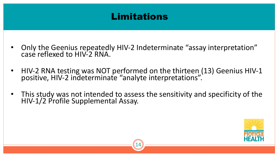## Limitations

- Only the Geenius repeatedly HIV-2 Indeterminate "assay interpretation" case reflexed to HIV-2 RNA.
- HIV-2 RNA testing was NOT performed on the thirteen (13) Geenius HIV-1 positive, HIV-2 indeterminate "analyte interpretations".
- This study was not intended to assess the sensitivity and specificity of the HIV-1/2 Profile Supplemental Assay.